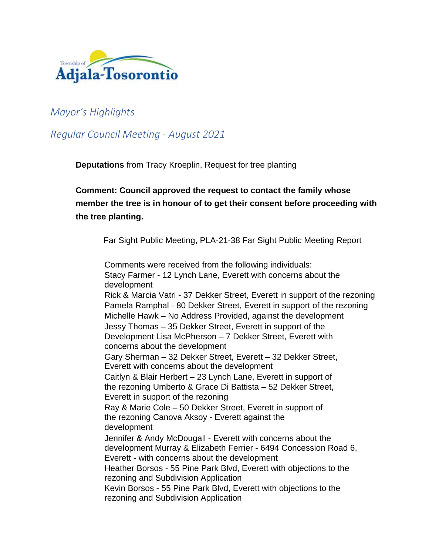

# *Mayor's Highlights*

# *Regular Council Meeting - August 2021*

**Deputations** from Tracy Kroeplin, Request for tree planting

# **Comment: Council approved the request to contact the family whose member the tree is in honour of to get their consent before proceeding with the tree planting.**

Far Sight Public Meeting, PLA-21-38 Far Sight Public Meeting Report

Comments were received from the following individuals: Stacy Farmer - 12 Lynch Lane, Everett with concerns about the development Rick & Marcia Vatri - 37 Dekker Street, Everett in support of the rezoning Pamela Ramphal - 80 Dekker Street, Everett in support of the rezoning Michelle Hawk – No Address Provided, against the development Jessy Thomas – 35 Dekker Street, Everett in support of the Development Lisa McPherson – 7 Dekker Street, Everett with concerns about the development Gary Sherman – 32 Dekker Street, Everett – 32 Dekker Street, Everett with concerns about the development Caitlyn & Blair Herbert – 23 Lynch Lane, Everett in support of the rezoning Umberto & Grace Di Battista – 52 Dekker Street, Everett in support of the rezoning Ray & Marie Cole – 50 Dekker Street, Everett in support of the rezoning Canova Aksoy - Everett against the development Jennifer & Andy McDougall - Everett with concerns about the development Murray & Elizabeth Ferrier - 6494 Concession Road 6, Everett - with concerns about the development Heather Borsos - 55 Pine Park Blvd, Everett with objections to the rezoning and Subdivision Application Kevin Borsos - 55 Pine Park Blvd, Everett with objections to the rezoning and Subdivision Application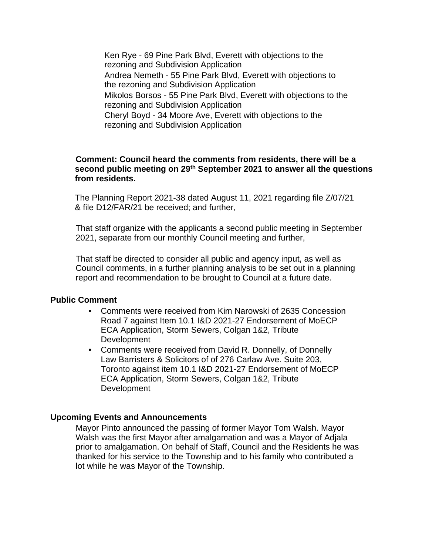Ken Rye - 69 Pine Park Blvd, Everett with objections to the rezoning and Subdivision Application Andrea Nemeth - 55 Pine Park Blvd, Everett with objections to the rezoning and Subdivision Application Mikolos Borsos - 55 Pine Park Blvd, Everett with objections to the rezoning and Subdivision Application Cheryl Boyd - 34 Moore Ave, Everett with objections to the rezoning and Subdivision Application

#### **Comment: Council heard the comments from residents, there will be a second public meeting on 29th September 2021 to answer all the questions from residents.**

The Planning Report 2021-38 dated August 11, 2021 regarding file Z/07/21 & file D12/FAR/21 be received; and further,

That staff organize with the applicants a second public meeting in September 2021, separate from our monthly Council meeting and further,

That staff be directed to consider all public and agency input, as well as Council comments, in a further planning analysis to be set out in a planning report and recommendation to be brought to Council at a future date.

#### **Public Comment**

- Comments were received from Kim Narowski of 2635 Concession Road 7 against Item 10.1 I&D 2021-27 Endorsement of MoECP ECA Application, Storm Sewers, Colgan 1&2, Tribute Development
- Comments were received from David R. Donnelly, of Donnelly Law Barristers & Solicitors of of 276 Carlaw Ave. Suite 203, Toronto against item 10.1 I&D 2021-27 Endorsement of MoECP ECA Application, Storm Sewers, Colgan 1&2, Tribute Development

#### **Upcoming Events and Announcements**

Mayor Pinto announced the passing of former Mayor Tom Walsh. Mayor Walsh was the first Mayor after amalgamation and was a Mayor of Adjala prior to amalgamation. On behalf of Staff, Council and the Residents he was thanked for his service to the Township and to his family who contributed a lot while he was Mayor of the Township.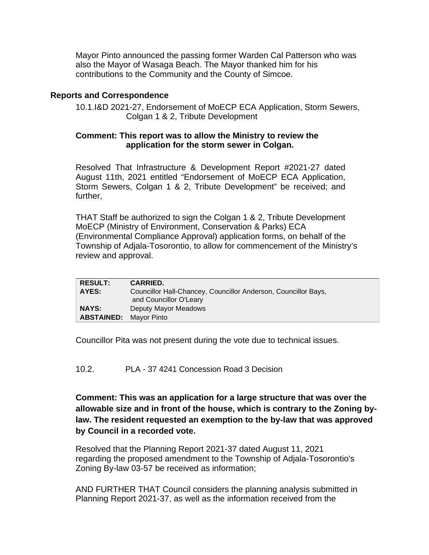Mayor Pinto announced the passing former Warden Cal Patterson who was also the Mayor of Wasaga Beach. The Mayor thanked him for his contributions to the Community and the County of Simcoe.

## **Reports and Correspondence**

10.1.I&D 2021-27, Endorsement of MoECP ECA Application, Storm Sewers, Colgan 1 & 2, Tribute Development

### **Comment: This report was to allow the Ministry to review the application for the storm sewer in Colgan.**

Resolved That Infrastructure & Development Report #2021-27 dated August 11th, 2021 entitled "Endorsement of MoECP ECA Application, Storm Sewers, Colgan 1 & 2, Tribute Development" be received; and further,

THAT Staff be authorized to sign the Colgan 1 & 2, Tribute Development MoECP (Ministry of Environment, Conservation & Parks) ECA (Environmental Compliance Approval) application forms, on behalf of the Township of Adjala-Tosorontio, to allow for commencement of the Ministry's review and approval.

| <b>RESULT:</b>    | <b>CARRIED.</b>                                                                          |
|-------------------|------------------------------------------------------------------------------------------|
| AYES:             | Councillor Hall-Chancey, Councillor Anderson, Councillor Bays,<br>and Councillor O'Leary |
| <b>NAYS:</b>      | Deputy Mayor Meadows                                                                     |
| <b>ABSTAINED:</b> | Mavor Pinto                                                                              |

Councillor Pita was not present during the vote due to technical issues.

10.2. PLA - 37 4241 Concession Road 3 Decision

**Comment: This was an application for a large structure that was over the allowable size and in front of the house, which is contrary to the Zoning bylaw. The resident requested an exemption to the by-law that was approved by Council in a recorded vote.**

Resolved that the Planning Report 2021-37 dated August 11, 2021 regarding the proposed amendment to the Township of Adjala-Tosorontio's Zoning By-law 03-57 be received as information;

AND FURTHER THAT Council considers the planning analysis submitted in Planning Report 2021-37, as well as the information received from the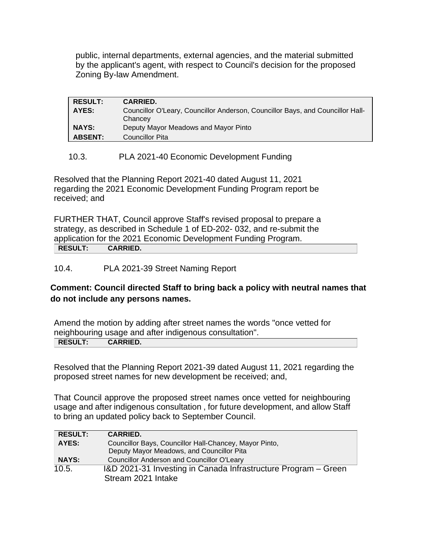public, internal departments, external agencies, and the material submitted by the applicant's agent, with respect to Council's decision for the proposed Zoning By-law Amendment.

| <b>RESULT:</b> | <b>CARRIED.</b>                                                                           |
|----------------|-------------------------------------------------------------------------------------------|
| AYES:          | Councillor O'Leary, Councillor Anderson, Councillor Bays, and Councillor Hall-<br>Chancey |
| <b>NAYS:</b>   | Deputy Mayor Meadows and Mayor Pinto                                                      |
| <b>ABSENT:</b> | <b>Councillor Pita</b>                                                                    |

## 10.3. PLA 2021-40 Economic Development Funding

Resolved that the Planning Report 2021-40 dated August 11, 2021 regarding the 2021 Economic Development Funding Program report be received; and

FURTHER THAT, Council approve Staff's revised proposal to prepare a strategy, as described in Schedule 1 of ED-202- 032, and re-submit the application for the 2021 Economic Development Funding Program. **RESULT: CARRIED.**

## 10.4. PLA 2021-39 Street Naming Report

## **Comment: Council directed Staff to bring back a policy with neutral names that do not include any persons names.**

Amend the motion by adding after street names the words "once vetted for neighbouring usage and after indigenous consultation". **RESULT: CARRIED.**

Resolved that the Planning Report 2021-39 dated August 11, 2021 regarding the proposed street names for new development be received; and,

That Council approve the proposed street names once vetted for neighbouring usage and after indigenous consultation , for future development, and allow Staff to bring an updated policy back to September Council.

| <b>RESULT:</b> | <b>CARRIED.</b>                                                |
|----------------|----------------------------------------------------------------|
| AYES:          | Councillor Bays, Councillor Hall-Chancey, Mayor Pinto,         |
|                | Deputy Mayor Meadows, and Councillor Pita                      |
| <b>NAYS:</b>   | <b>Councillor Anderson and Councillor O'Leary</b>              |
| 10.5.          | I&D 2021-31 Investing in Canada Infrastructure Program – Green |
|                | Stream 2021 Intake                                             |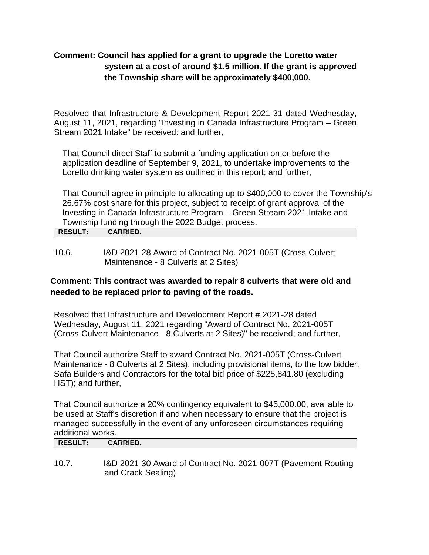# **Comment: Council has applied for a grant to upgrade the Loretto water system at a cost of around \$1.5 million. If the grant is approved the Township share will be approximately \$400,000.**

Resolved that Infrastructure & Development Report 2021-31 dated Wednesday, August 11, 2021, regarding "Investing in Canada Infrastructure Program – Green Stream 2021 Intake" be received: and further,

That Council direct Staff to submit a funding application on or before the application deadline of September 9, 2021, to undertake improvements to the Loretto drinking water system as outlined in this report; and further,

That Council agree in principle to allocating up to \$400,000 to cover the Township's 26.67% cost share for this project, subject to receipt of grant approval of the Investing in Canada Infrastructure Program – Green Stream 2021 Intake and Township funding through the 2022 Budget process.

| <b>RESULT:</b> | <b>CARRIED.</b> |  |  |  |
|----------------|-----------------|--|--|--|
|                |                 |  |  |  |
|                |                 |  |  |  |

10.6. I&D 2021-28 Award of Contract No. 2021-005T (Cross-Culvert Maintenance - 8 Culverts at 2 Sites)

# **Comment: This contract was awarded to repair 8 culverts that were old and needed to be replaced prior to paving of the roads.**

Resolved that Infrastructure and Development Report # 2021-28 dated Wednesday, August 11, 2021 regarding "Award of Contract No. 2021-005T (Cross-Culvert Maintenance - 8 Culverts at 2 Sites)" be received; and further,

That Council authorize Staff to award Contract No. 2021-005T (Cross-Culvert Maintenance - 8 Culverts at 2 Sites), including provisional items, to the low bidder, Safa Builders and Contractors for the total bid price of \$225,841.80 (excluding HST); and further,

That Council authorize a 20% contingency equivalent to \$45,000.00, available to be used at Staff's discretion if and when necessary to ensure that the project is managed successfully in the event of any unforeseen circumstances requiring additional works.

| againonal world. |                 |  |  |
|------------------|-----------------|--|--|
| <b>RESULT:</b>   | <b>CARRIED.</b> |  |  |
|                  |                 |  |  |
|                  |                 |  |  |

10.7. I&D 2021-30 Award of Contract No. 2021-007T (Pavement Routing and Crack Sealing)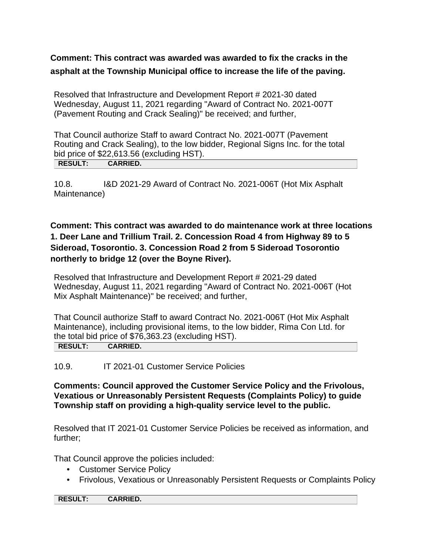**Comment: This contract was awarded was awarded to fix the cracks in the asphalt at the Township Municipal office to increase the life of the paving.**

Resolved that Infrastructure and Development Report # 2021-30 dated Wednesday, August 11, 2021 regarding "Award of Contract No. 2021-007T (Pavement Routing and Crack Sealing)" be received; and further,

That Council authorize Staff to award Contract No. 2021-007T (Pavement Routing and Crack Sealing), to the low bidder, Regional Signs Inc. for the total bid price of \$22,613.56 (excluding HST). **RESULT: CARRIED.**

10.8. I&D 2021-29 Award of Contract No. 2021-006T (Hot Mix Asphalt Maintenance)

# **Comment: This contract was awarded to do maintenance work at three locations 1. Deer Lane and Trillium Trail. 2. Concession Road 4 from Highway 89 to 5 Sideroad, Tosorontio. 3. Concession Road 2 from 5 Sideroad Tosorontio northerly to bridge 12 (over the Boyne River).**

Resolved that Infrastructure and Development Report # 2021-29 dated Wednesday, August 11, 2021 regarding "Award of Contract No. 2021-006T (Hot Mix Asphalt Maintenance)" be received; and further,

That Council authorize Staff to award Contract No. 2021-006T (Hot Mix Asphalt Maintenance), including provisional items, to the low bidder, Rima Con Ltd. for the total bid price of \$76,363.23 (excluding HST).

**RESULT: CARRIED.**

### 10.9. IT 2021-01 Customer Service Policies

**Comments: Council approved the Customer Service Policy and the Frivolous, Vexatious or Unreasonably Persistent Requests (Complaints Policy) to guide Township staff on providing a high-quality service level to the public.**

Resolved that IT 2021-01 Customer Service Policies be received as information, and further;

That Council approve the policies included:

- Customer Service Policy
- Frivolous, Vexatious or Unreasonably Persistent Requests or Complaints Policy

**RESULT: CARRIED.**